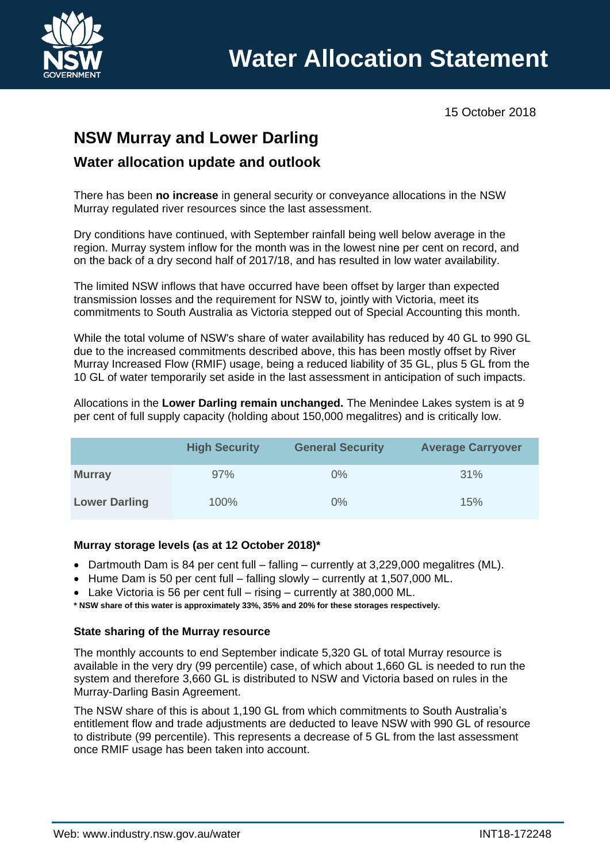

15 October 2018

# **NSW Murray and Lower Darling**

# **Water allocation update and outlook**

There has been **no increase** in general security or conveyance allocations in the NSW Murray regulated river resources since the last assessment.

Dry conditions have continued, with September rainfall being well below average in the region. Murray system inflow for the month was in the lowest nine per cent on record, and on the back of a dry second half of 2017/18, and has resulted in low water availability.

The limited NSW inflows that have occurred have been offset by larger than expected transmission losses and the requirement for NSW to, jointly with Victoria, meet its commitments to South Australia as Victoria stepped out of Special Accounting this month.

While the total volume of NSW's share of water availability has reduced by 40 GL to 990 GL due to the increased commitments described above, this has been mostly offset by River Murray Increased Flow (RMIF) usage, being a reduced liability of 35 GL, plus 5 GL from the 10 GL of water temporarily set aside in the last assessment in anticipation of such impacts.

Allocations in the **Lower Darling remain unchanged.** The Menindee Lakes system is at 9 per cent of full supply capacity (holding about 150,000 megalitres) and is critically low.

|                      | <b>High Security</b> | <b>General Security</b> | <b>Average Carryover</b> |
|----------------------|----------------------|-------------------------|--------------------------|
| <b>Murray</b>        | 97%                  | $0\%$                   | 31%                      |
| <b>Lower Darling</b> | 100%                 | $0\%$                   | 15%                      |

### **Murray storage levels (as at 12 October 2018)\***

- Dartmouth Dam is 84 per cent full falling currently at 3,229,000 megalitres (ML).
- Hume Dam is 50 per cent full falling slowly currently at 1,507,000 ML.
- Lake Victoria is 56 per cent full rising currently at 380,000 ML.
- **\* NSW share of this water is approximately 33%, 35% and 20% for these storages respectively.**

### **State sharing of the Murray resource**

The monthly accounts to end September indicate 5,320 GL of total Murray resource is available in the very dry (99 percentile) case, of which about 1,660 GL is needed to run the system and therefore 3,660 GL is distributed to NSW and Victoria based on rules in the Murray-Darling Basin Agreement.

The NSW share of this is about 1,190 GL from which commitments to South Australia's entitlement flow and trade adjustments are deducted to leave NSW with 990 GL of resource to distribute (99 percentile). This represents a decrease of 5 GL from the last assessment once RMIF usage has been taken into account.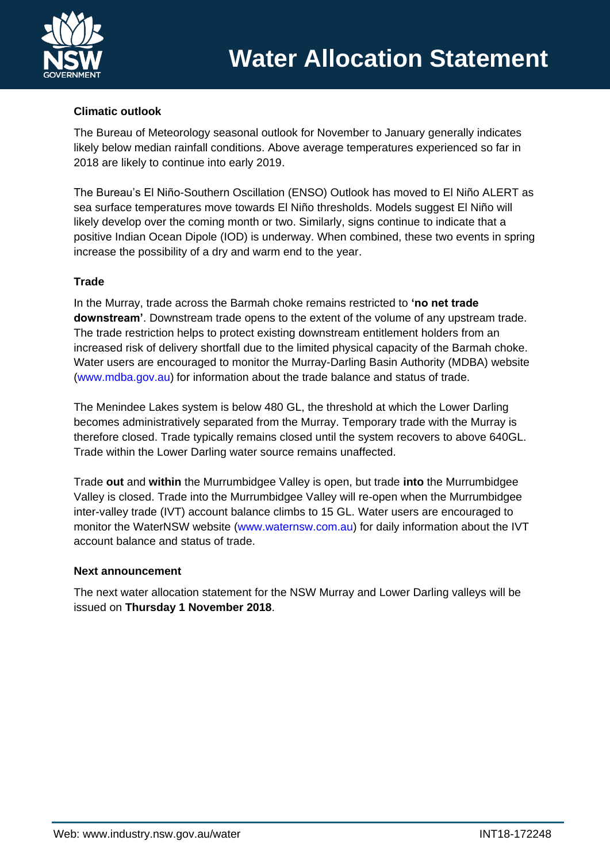

### **Climatic outlook**

The Bureau of Meteorology seasonal outlook for November to January generally indicates likely below median rainfall conditions. Above average temperatures experienced so far in 2018 are likely to continue into early 2019.

The Bureau's El Niño-Southern Oscillation (ENSO) Outlook has moved to El Niño ALERT as sea surface temperatures move towards El Niño thresholds. Models suggest El Niño will likely develop over the coming month or two. Similarly, signs continue to indicate that a positive Indian Ocean Dipole (IOD) is underway. When combined, these two events in spring increase the possibility of a dry and warm end to the year.

### **Trade**

In the Murray, trade across the Barmah choke remains restricted to **'no net trade downstream'**. Downstream trade opens to the extent of the volume of any upstream trade. The trade restriction helps to protect existing downstream entitlement holders from an increased risk of delivery shortfall due to the limited physical capacity of the Barmah choke. Water users are encouraged to monitor the Murray-Darling Basin Authority (MDBA) website [\(www.mdba.gov.au\)](http://www.mdba.gov.au/) for information about the trade balance and status of trade.

The Menindee Lakes system is below 480 GL, the threshold at which the Lower Darling becomes administratively separated from the Murray. Temporary trade with the Murray is therefore closed. Trade typically remains closed until the system recovers to above 640GL. Trade within the Lower Darling water source remains unaffected.

Trade **out** and **within** the Murrumbidgee Valley is open, but trade **into** the Murrumbidgee Valley is closed. Trade into the Murrumbidgee Valley will re-open when the Murrumbidgee inter-valley trade (IVT) account balance climbs to 15 GL. Water users are encouraged to monitor the WaterNSW website [\(www.waternsw.com.au\)](http://www.waternsw.com.au/) for daily information about the IVT account balance and status of trade.

### **Next announcement**

The next water allocation statement for the NSW Murray and Lower Darling valleys will be issued on **Thursday 1 November 2018**.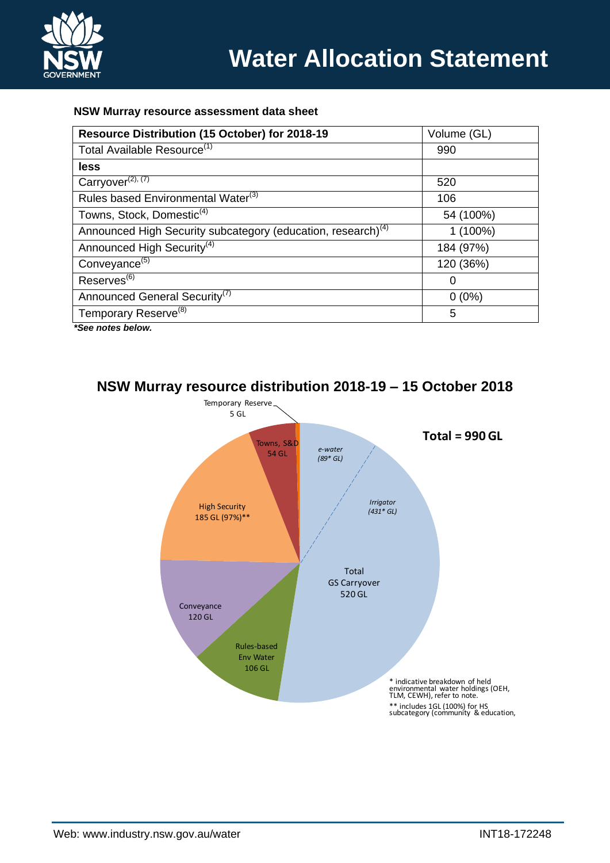

### **NSW Murray resource assessment data sheet**

| Resource Distribution (15 October) for 2018-19                           | Volume (GL) |
|--------------------------------------------------------------------------|-------------|
| Total Available Resource <sup>(1)</sup>                                  | 990         |
| less                                                                     |             |
| Carryover <sup>(2), (7)</sup>                                            | 520         |
| Rules based Environmental Water <sup>(3)</sup>                           | 106         |
| Towns, Stock, Domestic <sup>(4)</sup>                                    | 54 (100%)   |
| Announced High Security subcategory (education, research) <sup>(4)</sup> | $1(100\%)$  |
| Announced High Security <sup>(4)</sup>                                   | 184 (97%)   |
| Conveyance <sup>(5)</sup>                                                | 120 (36%)   |
| Reserves <sup>(6)</sup>                                                  | 0           |
| Announced General Security <sup>(7)</sup>                                | $0(0\%)$    |
| Temporary Reserve <sup>(8)</sup>                                         | 5           |
|                                                                          |             |

*\*See notes below.*



# **NSW Murray resource distribution 2018-19 – 15 October 2018**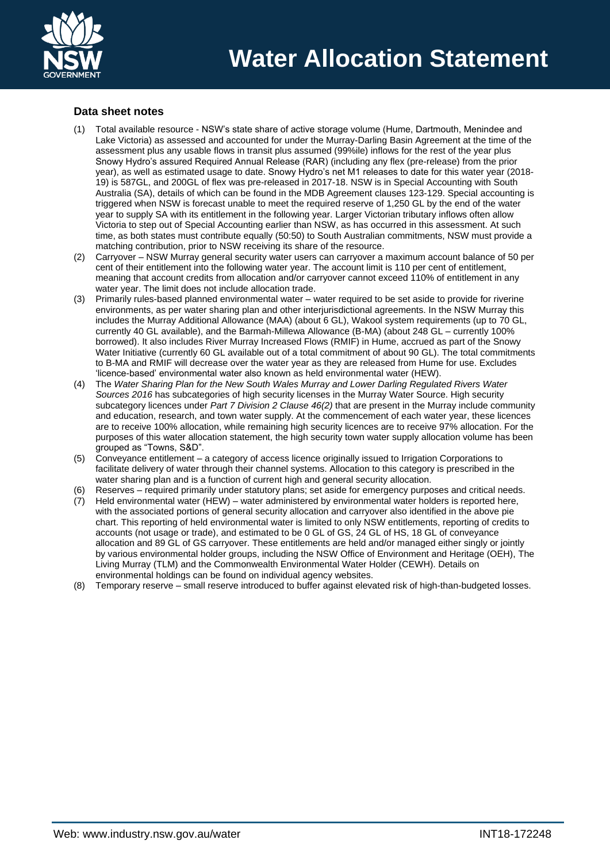

### **Data sheet notes**

- (1) Total available resource NSW's state share of active storage volume (Hume, Dartmouth, Menindee and Lake Victoria) as assessed and accounted for under the Murray-Darling Basin Agreement at the time of the assessment plus any usable flows in transit plus assumed (99%ile) inflows for the rest of the year plus Snowy Hydro's assured Required Annual Release (RAR) (including any flex (pre-release) from the prior year), as well as estimated usage to date. Snowy Hydro's net M1 releases to date for this water year (2018- 19) is 587GL, and 200GL of flex was pre-released in 2017-18. NSW is in Special Accounting with South Australia (SA), details of which can be found in the MDB Agreement clauses 123-129. Special accounting is triggered when NSW is forecast unable to meet the required reserve of 1,250 GL by the end of the water year to supply SA with its entitlement in the following year. Larger Victorian tributary inflows often allow Victoria to step out of Special Accounting earlier than NSW, as has occurred in this assessment. At such time, as both states must contribute equally (50:50) to South Australian commitments, NSW must provide a matching contribution, prior to NSW receiving its share of the resource.
- (2) Carryover NSW Murray general security water users can carryover a maximum account balance of 50 per cent of their entitlement into the following water year. The account limit is 110 per cent of entitlement, meaning that account credits from allocation and/or carryover cannot exceed 110% of entitlement in any water year. The limit does not include allocation trade.
- (3) Primarily rules-based planned environmental water water required to be set aside to provide for riverine environments, as per water sharing plan and other interjurisdictional agreements. In the NSW Murray this includes the Murray Additional Allowance (MAA) (about 6 GL), Wakool system requirements (up to 70 GL, currently 40 GL available), and the Barmah-Millewa Allowance (B-MA) (about 248 GL – currently 100% borrowed). It also includes River Murray Increased Flows (RMIF) in Hume, accrued as part of the Snowy Water Initiative (currently 60 GL available out of a total commitment of about 90 GL). The total commitments to B-MA and RMIF will decrease over the water year as they are released from Hume for use. Excludes 'licence-based' environmental water also known as held environmental water (HEW).
- (4) The *Water Sharing Plan for the New South Wales Murray and Lower Darling Regulated Rivers Water Sources 2016* has subcategories of high security licenses in the Murray Water Source. High security subcategory licences under *Part 7 Division 2 Clause 46(2)* that are present in the Murray include community and education, research, and town water supply. At the commencement of each water year, these licences are to receive 100% allocation, while remaining high security licences are to receive 97% allocation. For the purposes of this water allocation statement, the high security town water supply allocation volume has been grouped as "Towns, S&D".
- (5) Conveyance entitlement a category of access licence originally issued to Irrigation Corporations to facilitate delivery of water through their channel systems. Allocation to this category is prescribed in the water sharing plan and is a function of current high and general security allocation.
- (6) Reserves required primarily under statutory plans; set aside for emergency purposes and critical needs.
- $(7)$  Held environmental water (HEW) water administered by environmental water holders is reported here. with the associated portions of general security allocation and carryover also identified in the above pie chart. This reporting of held environmental water is limited to only NSW entitlements, reporting of credits to accounts (not usage or trade), and estimated to be 0 GL of GS, 24 GL of HS, 18 GL of conveyance allocation and 89 GL of GS carryover. These entitlements are held and/or managed either singly or jointly by various environmental holder groups, including the NSW Office of Environment and Heritage (OEH), The Living Murray (TLM) and the Commonwealth Environmental Water Holder (CEWH). Details on environmental holdings can be found on individual agency websites.
- (8) Temporary reserve small reserve introduced to buffer against elevated risk of high-than-budgeted losses.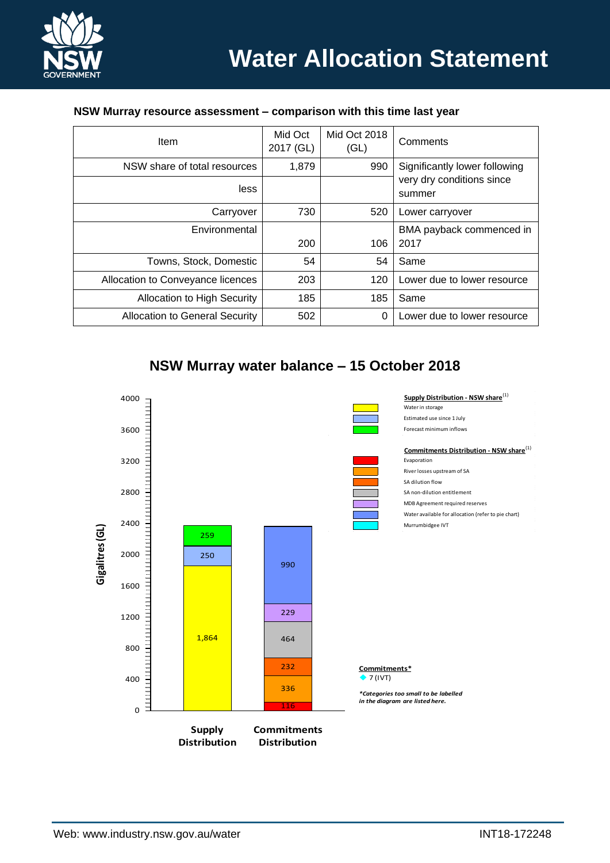

| Item                                  | Mid Oct<br>2017 (GL) | Mid Oct 2018<br>(GL) | Comments                                                             |  |
|---------------------------------------|----------------------|----------------------|----------------------------------------------------------------------|--|
| NSW share of total resources          | 1,879                | 990                  | Significantly lower following<br>very dry conditions since<br>summer |  |
| less                                  |                      |                      |                                                                      |  |
| Carryover                             | 730                  | 520                  | Lower carryover                                                      |  |
| Environmental                         |                      |                      | BMA payback commenced in                                             |  |
|                                       | 200                  | 106                  | 2017                                                                 |  |
| Towns, Stock, Domestic                | 54                   | 54                   | Same                                                                 |  |
| Allocation to Conveyance licences     | 203                  | 120                  | Lower due to lower resource                                          |  |
| <b>Allocation to High Security</b>    | 185                  | 185                  | Same                                                                 |  |
| <b>Allocation to General Security</b> | 502                  | $\Omega$             | Lower due to lower resource                                          |  |

### **NSW Murray resource assessment – comparison with this time last year**

## **NSW Murray water balance – 15 October 2018**

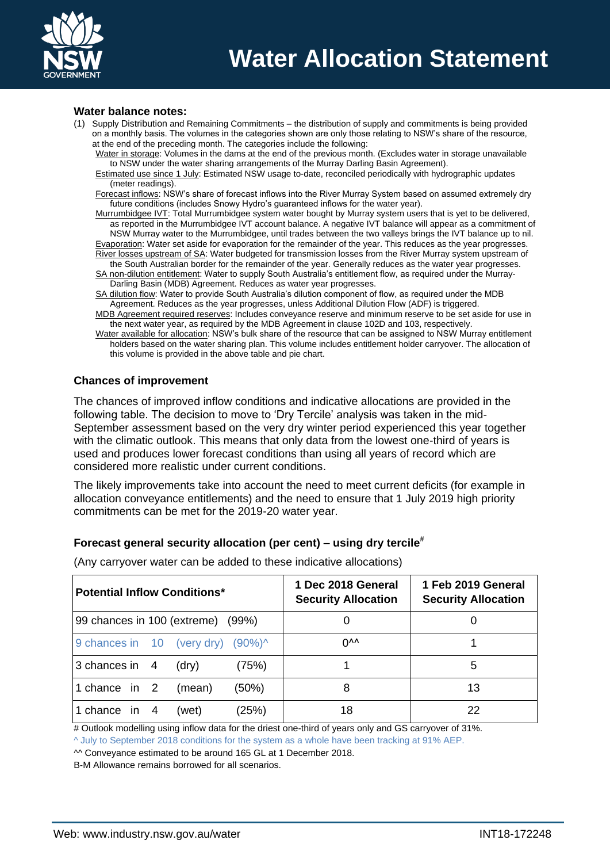

#### **Water balance notes:**

- (1) Supply Distribution and Remaining Commitments the distribution of supply and commitments is being provided on a monthly basis. The volumes in the categories shown are only those relating to NSW's share of the resource, at the end of the preceding month. The categories include the following:
	- Water in storage: Volumes in the dams at the end of the previous month. (Excludes water in storage unavailable to NSW under the water sharing arrangements of the Murray Darling Basin Agreement).
	- Estimated use since 1 July: Estimated NSW usage to-date, reconciled periodically with hydrographic updates (meter readings).

Forecast inflows: NSW's share of forecast inflows into the River Murray System based on assumed extremely dry future conditions (includes Snowy Hydro's guaranteed inflows for the water year).

Murrumbidgee IVT: Total Murrumbidgee system water bought by Murray system users that is yet to be delivered, as reported in the Murrumbidgee IVT account balance. A negative IVT balance will appear as a commitment of NSW Murray water to the Murrumbidgee, until trades between the two valleys brings the IVT balance up to nil.

Evaporation: Water set aside for evaporation for the remainder of the year. This reduces as the year progresses. River losses upstream of SA: Water budgeted for transmission losses from the River Murray system upstream of the South Australian border for the remainder of the year. Generally reduces as the water year progresses.

SA non-dilution entitlement: Water to supply South Australia's entitlement flow, as required under the Murray-Darling Basin (MDB) Agreement. Reduces as water year progresses.

SA dilution flow: Water to provide South Australia's dilution component of flow, as required under the MDB Agreement. Reduces as the year progresses, unless Additional Dilution Flow (ADF) is triggered.

MDB Agreement required reserves: Includes conveyance reserve and minimum reserve to be set aside for use in the next water year, as required by the MDB Agreement in clause 102D and 103, respectively.

Water available for allocation: NSW's bulk share of the resource that can be assigned to NSW Murray entitlement holders based on the water sharing plan. This volume includes entitlement holder carryover. The allocation of this volume is provided in the above table and pie chart.

#### **Chances of improvement**

The chances of improved inflow conditions and indicative allocations are provided in the following table. The decision to move to 'Dry Tercile' analysis was taken in the mid-September assessment based on the very dry winter period experienced this year together with the climatic outlook. This means that only data from the lowest one-third of years is used and produces lower forecast conditions than using all years of record which are considered more realistic under current conditions.

The likely improvements take into account the need to meet current deficits (for example in allocation conveyance entitlements) and the need to ensure that 1 July 2019 high priority commitments can be met for the 2019-20 water year.

### **Forecast general security allocation (per cent) – using dry tercile#**

| Potential Inflow Conditions*                   | 1 Dec 2018 General<br><b>Security Allocation</b> | 1 Feb 2019 General<br><b>Security Allocation</b> |  |
|------------------------------------------------|--------------------------------------------------|--------------------------------------------------|--|
| 99 chances in 100 (extreme) (99%)              |                                                  |                                                  |  |
| 9 chances in $10$ (very dry) $(90\%)^{\wedge}$ | $U_{VV}$                                         |                                                  |  |
| $3$ chances in 4<br>(75%)<br>(dry)             |                                                  | 5                                                |  |
| 1 chance in 2<br>(50%)<br>(mean)               | 8                                                | 13                                               |  |
| (25%)<br>1 chance in<br>4<br>(wet)             | 18                                               | 22                                               |  |

(Any carryover water can be added to these indicative allocations)

# Outlook modelling using inflow data for the driest one-third of years only and GS carryover of 31%.

^ July to September 2018 conditions for the system as a whole have been tracking at 91% AEP.

^^ Conveyance estimated to be around 165 GL at 1 December 2018.

B-M Allowance remains borrowed for all scenarios.